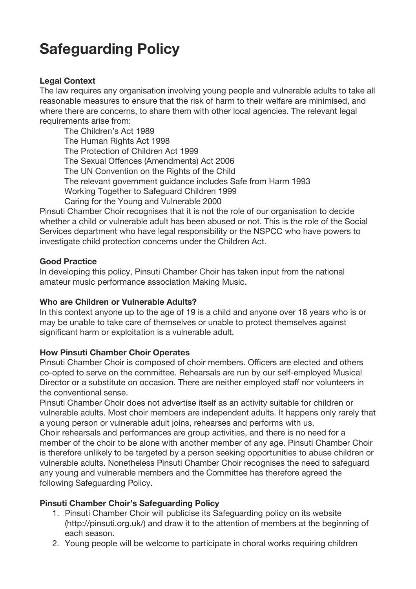# **Safeguarding Policy**

## **Legal Context**

The law requires any organisation involving young people and vulnerable adults to take all reasonable measures to ensure that the risk of harm to their welfare are minimised, and where there are concerns, to share them with other local agencies. The relevant legal requirements arise from:

The Children's Act 1989 The Human Rights Act 1998 The Protection of Children Act 1999 The Sexual Offences (Amendments) Act 2006 The UN Convention on the Rights of the Child The relevant government guidance includes Safe from Harm 1993 Working Together to Safeguard Children 1999 Caring for the Young and Vulnerable 2000

Pinsuti Chamber Choir recognises that it is not the role of our organisation to decide whether a child or vulnerable adult has been abused or not. This is the role of the Social Services department who have legal responsibility or the NSPCC who have powers to investigate child protection concerns under the Children Act.

### **Good Practice**

In developing this policy, Pinsuti Chamber Choir has taken input from the national amateur music performance association Making Music.

### **Who are Children or Vulnerable Adults?**

In this context anyone up to the age of 19 is a child and anyone over 18 years who is or may be unable to take care of themselves or unable to protect themselves against significant harm or exploitation is a vulnerable adult.

### **How Pinsuti Chamber Choir Operates**

Pinsuti Chamber Choir is composed of choir members. Officers are elected and others co-opted to serve on the committee. Rehearsals are run by our self-employed Musical Director or a substitute on occasion. There are neither employed staff nor volunteers in the conventional sense.

Pinsuti Chamber Choir does not advertise itself as an activity suitable for children or vulnerable adults. Most choir members are independent adults. It happens only rarely that a young person or vulnerable adult joins, rehearses and performs with us.

Choir rehearsals and performances are group activities, and there is no need for a member of the choir to be alone with another member of any age. Pinsuti Chamber Choir is therefore unlikely to be targeted by a person seeking opportunities to abuse children or vulnerable adults. Nonetheless Pinsuti Chamber Choir recognises the need to safeguard any young and vulnerable members and the Committee has therefore agreed the following Safeguarding Policy.

### **Pinsuti Chamber Choir's Safeguarding Policy**

- 1. Pinsuti Chamber Choir will publicise its Safeguarding policy on its website (http://pinsuti.org.uk/) and draw it to the attention of members at the beginning of each season.
- 2. Young people will be welcome to participate in choral works requiring children